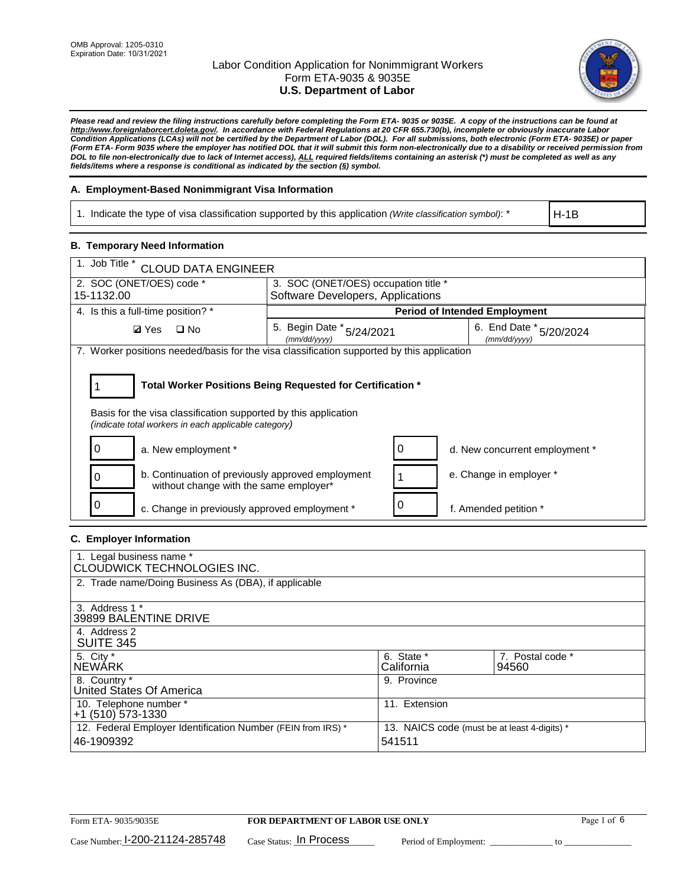

*Please read and review the filing instructions carefully before completing the Form ETA- 9035 or 9035E. A copy of the instructions can be found at http://www.foreignlaborcert.doleta.gov/. In accordance with Federal Regulations at 20 CFR 655.730(b), incomplete or obviously inaccurate Labor Condition Applications (LCAs) will not be certified by the Department of Labor (DOL). For all submissions, both electronic (Form ETA- 9035E) or paper (Form ETA- Form 9035 where the employer has notified DOL that it will submit this form non-electronically due to a disability or received permission from DOL to file non-electronically due to lack of Internet access), ALL required fields/items containing an asterisk (\*) must be completed as well as any fields/items where a response is conditional as indicated by the section (§) symbol.* 

### **A. Employment-Based Nonimmigrant Visa Information**

1. Indicate the type of visa classification supported by this application *(Write classification symbol)*: \*

H-1B

### **B. Temporary Need Information**

| 1. Job Title *<br><b>CLOUD DATA ENGINEER</b>                                                                                                                                          |                                           |   |                                         |  |  |
|---------------------------------------------------------------------------------------------------------------------------------------------------------------------------------------|-------------------------------------------|---|-----------------------------------------|--|--|
| 2. SOC (ONET/OES) code *<br>3. SOC (ONET/OES) occupation title *                                                                                                                      |                                           |   |                                         |  |  |
| 15-1132.00                                                                                                                                                                            | Software Developers, Applications         |   |                                         |  |  |
| 4. Is this a full-time position? *                                                                                                                                                    | <b>Period of Intended Employment</b>      |   |                                         |  |  |
| <b>Ø</b> Yes<br>$\square$ No                                                                                                                                                          | 5. Begin Date * 5/24/2021<br>(mm/dd/vvvv) |   | 6. End Date * 5/20/2024<br>(mm/dd/vvvv) |  |  |
| 7. Worker positions needed/basis for the visa classification supported by this application                                                                                            |                                           |   |                                         |  |  |
| Total Worker Positions Being Requested for Certification *<br>Basis for the visa classification supported by this application<br>(indicate total workers in each applicable category) |                                           |   |                                         |  |  |
| a. New employment *                                                                                                                                                                   |                                           | 0 | d. New concurrent employment *          |  |  |
| b. Continuation of previously approved employment<br>without change with the same employer*                                                                                           |                                           |   | e. Change in employer *                 |  |  |
| c. Change in previously approved employment *                                                                                                                                         |                                           |   | f. Amended petition *                   |  |  |

### **C. Employer Information**

| 1. Legal business name *<br>CLOUDWICK TECHNOLOGIES INC.                    |                                                        |                           |
|----------------------------------------------------------------------------|--------------------------------------------------------|---------------------------|
| 2. Trade name/Doing Business As (DBA), if applicable                       |                                                        |                           |
| 3. Address 1 *<br>39899 BALENTINE DRIVE                                    |                                                        |                           |
| 4. Address 2<br><b>SUITE 345</b>                                           |                                                        |                           |
| 5. City *<br>INEWÁRK                                                       | 6. State *<br>California                               | 7. Postal code *<br>94560 |
| 8. Country *<br>United States Of America                                   | 9. Province                                            |                           |
| 10. Telephone number *<br>$+1$ (510) 573-1330                              | 11. Extension                                          |                           |
| 12. Federal Employer Identification Number (FEIN from IRS) *<br>46-1909392 | 13. NAICS code (must be at least 4-digits) *<br>541511 |                           |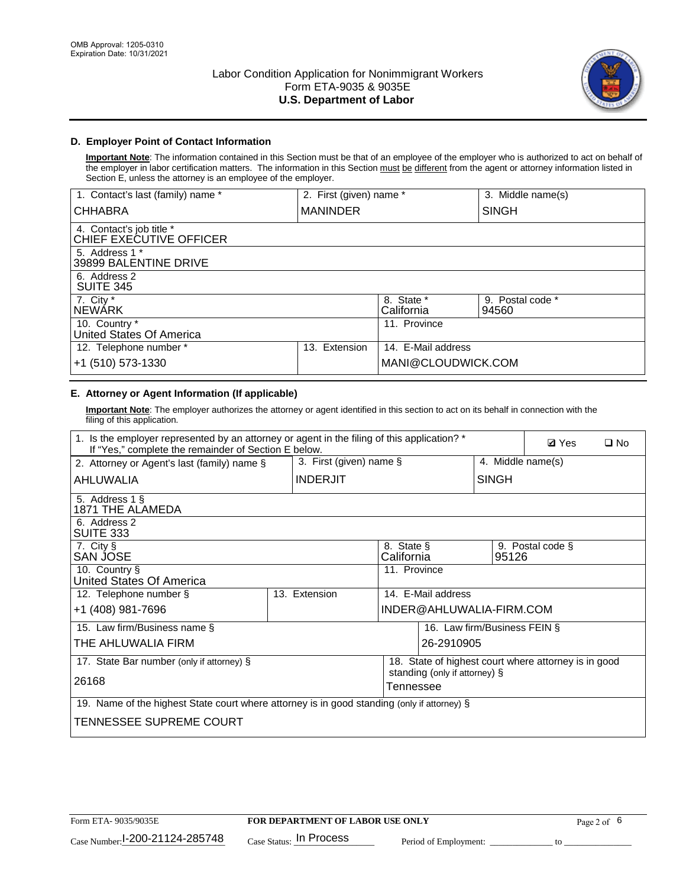

## **D. Employer Point of Contact Information**

**Important Note**: The information contained in this Section must be that of an employee of the employer who is authorized to act on behalf of the employer in labor certification matters. The information in this Section must be different from the agent or attorney information listed in Section E, unless the attorney is an employee of the employer.

| 1. Contact's last (family) name *                   | 2. First (given) name * |                          | 3. Middle name(s)         |
|-----------------------------------------------------|-------------------------|--------------------------|---------------------------|
| <b>CHHABRA</b>                                      | <b>MANINDER</b>         |                          | <b>SINGH</b>              |
| 4. Contact's job title *<br>CHIEF EXECUTIVE OFFICER |                         |                          |                           |
| 5. Address 1 *<br>39899 BALENTINE DRIVE             |                         |                          |                           |
| 6. Address 2<br><b>SUITE 345</b>                    |                         |                          |                           |
| 7. City *<br><b>NEWÁRK</b>                          |                         | 8. State *<br>California | 9. Postal code *<br>94560 |
| 10. Country *<br>United States Of America           |                         | 11. Province             |                           |
| 12. Telephone number *                              | Extension<br>13.        | 14. E-Mail address       |                           |
| +1 (510) 573-1330                                   |                         | MANI@CLOUDWICK.COM       |                           |

## **E. Attorney or Agent Information (If applicable)**

**Important Note**: The employer authorizes the attorney or agent identified in this section to act on its behalf in connection with the filing of this application.

| 1. Is the employer represented by an attorney or agent in the filing of this application? *<br>If "Yes," complete the remainder of Section E below. |  |                 |                          |                               |                              | <b>Ø</b> Yes<br>$\square$ No                         |  |
|-----------------------------------------------------------------------------------------------------------------------------------------------------|--|-----------------|--------------------------|-------------------------------|------------------------------|------------------------------------------------------|--|
| 3. First (given) name $\S$<br>2. Attorney or Agent's last (family) name §                                                                           |  |                 |                          |                               | 4. Middle name(s)            |                                                      |  |
| AHLUWALIA                                                                                                                                           |  | <b>INDERJIT</b> |                          |                               | <b>SINGH</b>                 |                                                      |  |
| 5. Address 1 §<br>1871 THE ALAMEDA                                                                                                                  |  |                 |                          |                               |                              |                                                      |  |
| 6. Address 2<br>SUITE 333                                                                                                                           |  |                 |                          |                               |                              |                                                      |  |
| 7. City §<br>SAN JOSE                                                                                                                               |  |                 | 8. State §<br>California |                               | 95126                        | 9. Postal code §                                     |  |
| 10. Country §<br>United States Of America                                                                                                           |  |                 | 11. Province             |                               |                              |                                                      |  |
| 12. Telephone number §                                                                                                                              |  | 13. Extension   |                          | 14. E-Mail address            |                              |                                                      |  |
| +1 (408) 981-7696                                                                                                                                   |  |                 |                          | INDER@AHLUWALIA-FIRM.COM      |                              |                                                      |  |
| 15. Law firm/Business name §                                                                                                                        |  |                 |                          |                               | 16. Law firm/Business FEIN § |                                                      |  |
| THE AHLUWALIA FIRM                                                                                                                                  |  |                 |                          | 26-2910905                    |                              |                                                      |  |
| 17. State Bar number (only if attorney) §                                                                                                           |  |                 |                          | standing (only if attorney) § |                              | 18. State of highest court where attorney is in good |  |
| 26168                                                                                                                                               |  |                 | Tennessee                |                               |                              |                                                      |  |
| 19. Name of the highest State court where attorney is in good standing (only if attorney) §                                                         |  |                 |                          |                               |                              |                                                      |  |
| TENNESSEE SUPREME COURT                                                                                                                             |  |                 |                          |                               |                              |                                                      |  |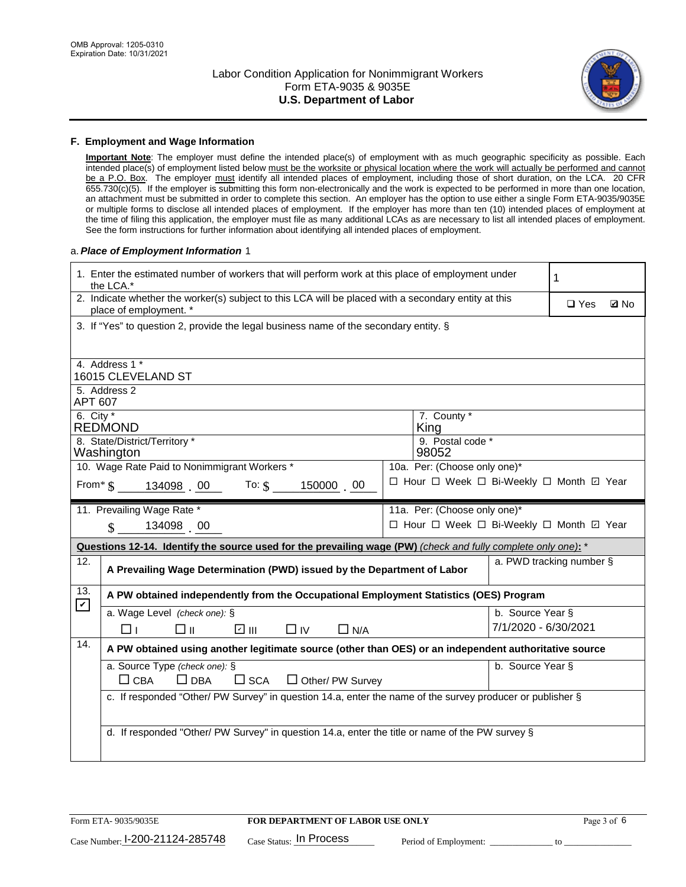

#### **F. Employment and Wage Information**

**Important Note**: The employer must define the intended place(s) of employment with as much geographic specificity as possible. Each intended place(s) of employment listed below must be the worksite or physical location where the work will actually be performed and cannot be a P.O. Box. The employer must identify all intended places of employment, including those of short duration, on the LCA. 20 CFR 655.730(c)(5). If the employer is submitting this form non-electronically and the work is expected to be performed in more than one location, an attachment must be submitted in order to complete this section. An employer has the option to use either a single Form ETA-9035/9035E or multiple forms to disclose all intended places of employment. If the employer has more than ten (10) intended places of employment at the time of filing this application, the employer must file as many additional LCAs as are necessary to list all intended places of employment. See the form instructions for further information about identifying all intended places of employment.

#### a.*Place of Employment Information* 1

|                                                                              | 1. Enter the estimated number of workers that will perform work at this place of employment under<br>the LCA.*                 |  | 1                                        |                           |  |  |  |  |
|------------------------------------------------------------------------------|--------------------------------------------------------------------------------------------------------------------------------|--|------------------------------------------|---------------------------|--|--|--|--|
|                                                                              | 2. Indicate whether the worker(s) subject to this LCA will be placed with a secondary entity at this<br>place of employment. * |  |                                          | $\Box$ Yes<br><b>Z</b> No |  |  |  |  |
|                                                                              | 3. If "Yes" to question 2, provide the legal business name of the secondary entity. §                                          |  |                                          |                           |  |  |  |  |
|                                                                              | 4. Address 1 *                                                                                                                 |  |                                          |                           |  |  |  |  |
|                                                                              | 16015 CLEVELAND ST                                                                                                             |  |                                          |                           |  |  |  |  |
| APT 607                                                                      | 5. Address 2                                                                                                                   |  |                                          |                           |  |  |  |  |
| 6. City $*$                                                                  | <b>REDMOND</b>                                                                                                                 |  | 7. County *<br>King                      |                           |  |  |  |  |
|                                                                              | 8. State/District/Territory *<br>9. Postal code *<br>98052<br>Washington                                                       |  |                                          |                           |  |  |  |  |
| 10. Wage Rate Paid to Nonimmigrant Workers *<br>10a. Per: (Choose only one)* |                                                                                                                                |  |                                          |                           |  |  |  |  |
|                                                                              | □ Hour □ Week □ Bi-Weekly □ Month ☑ Year<br>From* \$   134098  00    To: \$<br>150000 00                                       |  |                                          |                           |  |  |  |  |
|                                                                              | 11. Prevailing Wage Rate *<br>11a. Per: (Choose only one)*                                                                     |  |                                          |                           |  |  |  |  |
|                                                                              | 134098 00<br>$\mathbf{\$}$                                                                                                     |  | □ Hour □ Week □ Bi-Weekly □ Month 回 Year |                           |  |  |  |  |
|                                                                              | Questions 12-14. Identify the source used for the prevailing wage (PW) (check and fully complete only one): *                  |  |                                          |                           |  |  |  |  |
| 12.                                                                          | a. PWD tracking number §<br>A Prevailing Wage Determination (PWD) issued by the Department of Labor                            |  |                                          |                           |  |  |  |  |
| 13.<br>$\mathbf v$                                                           | A PW obtained independently from the Occupational Employment Statistics (OES) Program                                          |  |                                          |                           |  |  |  |  |
|                                                                              | a. Wage Level (check one): §                                                                                                   |  | b. Source Year §                         |                           |  |  |  |  |
|                                                                              | ☑ Ⅲ<br>□⊪<br>$\Box$ IV<br>⊓⊥<br>$\Box$ N/A                                                                                     |  | 7/1/2020 - 6/30/2021                     |                           |  |  |  |  |
| 14.                                                                          | A PW obtained using another legitimate source (other than OES) or an independent authoritative source                          |  |                                          |                           |  |  |  |  |
|                                                                              | a. Source Type (check one): §                                                                                                  |  | b. Source Year §                         |                           |  |  |  |  |
|                                                                              | $\Box$ CBA<br>$\Box$ DBA<br>$\square$ SCA<br>□ Other/ PW Survey                                                                |  |                                          |                           |  |  |  |  |
|                                                                              | c. If responded "Other/ PW Survey" in question 14.a, enter the name of the survey producer or publisher §                      |  |                                          |                           |  |  |  |  |
|                                                                              |                                                                                                                                |  |                                          |                           |  |  |  |  |
|                                                                              | d. If responded "Other/ PW Survey" in question 14.a, enter the title or name of the PW survey §                                |  |                                          |                           |  |  |  |  |
|                                                                              |                                                                                                                                |  |                                          |                           |  |  |  |  |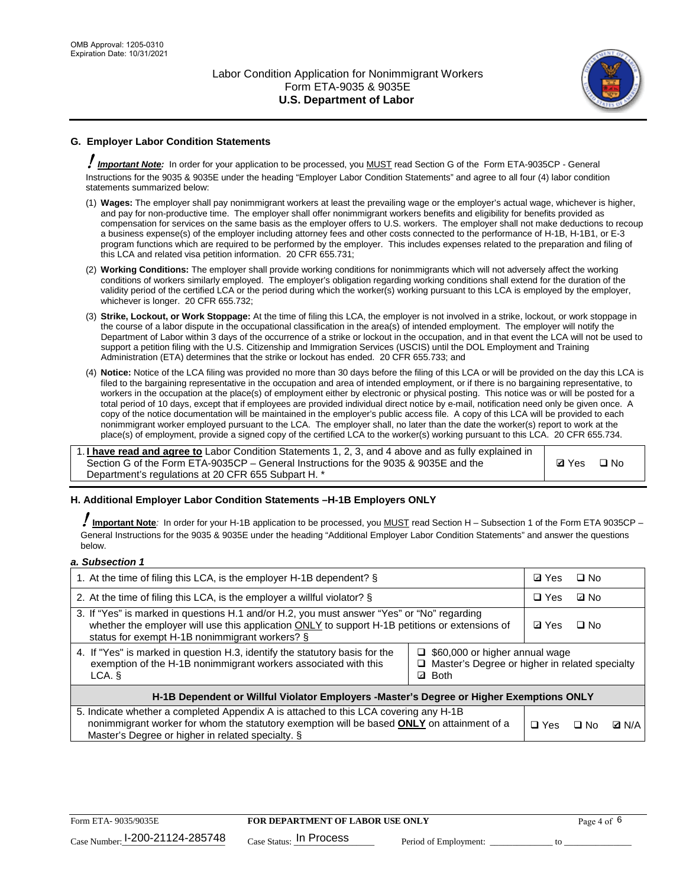

## **G. Employer Labor Condition Statements**

! *Important Note:* In order for your application to be processed, you MUST read Section G of the Form ETA-9035CP - General Instructions for the 9035 & 9035E under the heading "Employer Labor Condition Statements" and agree to all four (4) labor condition statements summarized below:

- (1) **Wages:** The employer shall pay nonimmigrant workers at least the prevailing wage or the employer's actual wage, whichever is higher, and pay for non-productive time. The employer shall offer nonimmigrant workers benefits and eligibility for benefits provided as compensation for services on the same basis as the employer offers to U.S. workers. The employer shall not make deductions to recoup a business expense(s) of the employer including attorney fees and other costs connected to the performance of H-1B, H-1B1, or E-3 program functions which are required to be performed by the employer. This includes expenses related to the preparation and filing of this LCA and related visa petition information. 20 CFR 655.731;
- (2) **Working Conditions:** The employer shall provide working conditions for nonimmigrants which will not adversely affect the working conditions of workers similarly employed. The employer's obligation regarding working conditions shall extend for the duration of the validity period of the certified LCA or the period during which the worker(s) working pursuant to this LCA is employed by the employer, whichever is longer. 20 CFR 655.732;
- (3) **Strike, Lockout, or Work Stoppage:** At the time of filing this LCA, the employer is not involved in a strike, lockout, or work stoppage in the course of a labor dispute in the occupational classification in the area(s) of intended employment. The employer will notify the Department of Labor within 3 days of the occurrence of a strike or lockout in the occupation, and in that event the LCA will not be used to support a petition filing with the U.S. Citizenship and Immigration Services (USCIS) until the DOL Employment and Training Administration (ETA) determines that the strike or lockout has ended. 20 CFR 655.733; and
- (4) **Notice:** Notice of the LCA filing was provided no more than 30 days before the filing of this LCA or will be provided on the day this LCA is filed to the bargaining representative in the occupation and area of intended employment, or if there is no bargaining representative, to workers in the occupation at the place(s) of employment either by electronic or physical posting. This notice was or will be posted for a total period of 10 days, except that if employees are provided individual direct notice by e-mail, notification need only be given once. A copy of the notice documentation will be maintained in the employer's public access file. A copy of this LCA will be provided to each nonimmigrant worker employed pursuant to the LCA. The employer shall, no later than the date the worker(s) report to work at the place(s) of employment, provide a signed copy of the certified LCA to the worker(s) working pursuant to this LCA. 20 CFR 655.734.

1. **I have read and agree to** Labor Condition Statements 1, 2, 3, and 4 above and as fully explained in Section G of the Form ETA-9035CP – General Instructions for the 9035 & 9035E and the Department's regulations at 20 CFR 655 Subpart H. \*

**Ø**Yes ロNo

### **H. Additional Employer Labor Condition Statements –H-1B Employers ONLY**

!**Important Note***:* In order for your H-1B application to be processed, you MUST read Section H – Subsection 1 of the Form ETA 9035CP – General Instructions for the 9035 & 9035E under the heading "Additional Employer Labor Condition Statements" and answer the questions below.

#### *a. Subsection 1*

| 1. At the time of filing this LCA, is the employer H-1B dependent? §                                                                                                                                                                           | ⊡ Yes                                                                                     | $\square$ No |              |  |  |
|------------------------------------------------------------------------------------------------------------------------------------------------------------------------------------------------------------------------------------------------|-------------------------------------------------------------------------------------------|--------------|--------------|--|--|
| 2. At the time of filing this LCA, is the employer a willful violator? $\S$                                                                                                                                                                    | $\Box$ Yes                                                                                | ⊡ No         |              |  |  |
| 3. If "Yes" is marked in questions H.1 and/or H.2, you must answer "Yes" or "No" regarding<br>whether the employer will use this application ONLY to support H-1B petitions or extensions of<br>status for exempt H-1B nonimmigrant workers? § | <b>☑</b> Yes                                                                              | $\Box$ No    |              |  |  |
| 4. If "Yes" is marked in question H.3, identify the statutory basis for the<br>exemption of the H-1B nonimmigrant workers associated with this<br>LCA. §                                                                                       | $\Box$ \$60,000 or higher annual wage<br>□ Master's Degree or higher in related specialty |              |              |  |  |
| H-1B Dependent or Willful Violator Employers -Master's Degree or Higher Exemptions ONLY                                                                                                                                                        |                                                                                           |              |              |  |  |
| 5. Indicate whether a completed Appendix A is attached to this LCA covering any H-1B<br>nonimmigrant worker for whom the statutory exemption will be based <b>ONLY</b> on attainment of a<br>Master's Degree or higher in related specialty. § | $\Box$ Yes                                                                                | ⊟ No         | <b>Q</b> N/A |  |  |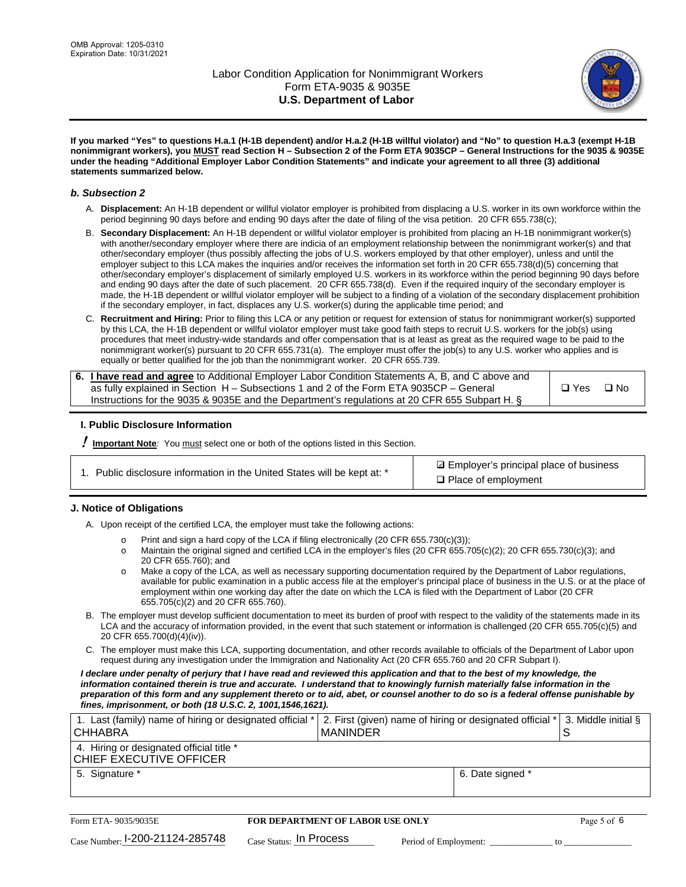

**If you marked "Yes" to questions H.a.1 (H-1B dependent) and/or H.a.2 (H-1B willful violator) and "No" to question H.a.3 (exempt H-1B nonimmigrant workers), you MUST read Section H – Subsection 2 of the Form ETA 9035CP – General Instructions for the 9035 & 9035E under the heading "Additional Employer Labor Condition Statements" and indicate your agreement to all three (3) additional statements summarized below.**

#### *b. Subsection 2*

- A. **Displacement:** An H-1B dependent or willful violator employer is prohibited from displacing a U.S. worker in its own workforce within the period beginning 90 days before and ending 90 days after the date of filing of the visa petition. 20 CFR 655.738(c);
- B. **Secondary Displacement:** An H-1B dependent or willful violator employer is prohibited from placing an H-1B nonimmigrant worker(s) with another/secondary employer where there are indicia of an employment relationship between the nonimmigrant worker(s) and that other/secondary employer (thus possibly affecting the jobs of U.S. workers employed by that other employer), unless and until the employer subject to this LCA makes the inquiries and/or receives the information set forth in 20 CFR 655.738(d)(5) concerning that other/secondary employer's displacement of similarly employed U.S. workers in its workforce within the period beginning 90 days before and ending 90 days after the date of such placement. 20 CFR 655.738(d). Even if the required inquiry of the secondary employer is made, the H-1B dependent or willful violator employer will be subject to a finding of a violation of the secondary displacement prohibition if the secondary employer, in fact, displaces any U.S. worker(s) during the applicable time period; and
- C. **Recruitment and Hiring:** Prior to filing this LCA or any petition or request for extension of status for nonimmigrant worker(s) supported by this LCA, the H-1B dependent or willful violator employer must take good faith steps to recruit U.S. workers for the job(s) using procedures that meet industry-wide standards and offer compensation that is at least as great as the required wage to be paid to the nonimmigrant worker(s) pursuant to 20 CFR 655.731(a). The employer must offer the job(s) to any U.S. worker who applies and is equally or better qualified for the job than the nonimmigrant worker. 20 CFR 655.739.

| 6. I have read and agree to Additional Employer Labor Condition Statements A, B, and C above and |       |           |
|--------------------------------------------------------------------------------------------------|-------|-----------|
| as fully explained in Section H – Subsections 1 and 2 of the Form ETA 9035CP – General           | □ Yes | $\Box$ No |
| Instructions for the 9035 & 9035E and the Department's regulations at 20 CFR 655 Subpart H. §    |       |           |

### **I. Public Disclosure Information**

! **Important Note***:* You must select one or both of the options listed in this Section.

| 1. Public disclosure information in the United States will be kept at: * |  |  |  |  |  |  |
|--------------------------------------------------------------------------|--|--|--|--|--|--|
|--------------------------------------------------------------------------|--|--|--|--|--|--|

**sqrt** Employer's principal place of business □ Place of employment

### **J. Notice of Obligations**

A. Upon receipt of the certified LCA, the employer must take the following actions:

- o Print and sign a hard copy of the LCA if filing electronically (20 CFR 655.730(c)(3));<br>
Maintain the original signed and certified LCA in the employer's files (20 CFR 655.7
- Maintain the original signed and certified LCA in the employer's files (20 CFR 655.705(c)(2); 20 CFR 655.730(c)(3); and 20 CFR 655.760); and
- o Make a copy of the LCA, as well as necessary supporting documentation required by the Department of Labor regulations, available for public examination in a public access file at the employer's principal place of business in the U.S. or at the place of employment within one working day after the date on which the LCA is filed with the Department of Labor (20 CFR 655.705(c)(2) and 20 CFR 655.760).
- B. The employer must develop sufficient documentation to meet its burden of proof with respect to the validity of the statements made in its LCA and the accuracy of information provided, in the event that such statement or information is challenged (20 CFR 655.705(c)(5) and 20 CFR 655.700(d)(4)(iv)).
- C. The employer must make this LCA, supporting documentation, and other records available to officials of the Department of Labor upon request during any investigation under the Immigration and Nationality Act (20 CFR 655.760 and 20 CFR Subpart I).

*I declare under penalty of perjury that I have read and reviewed this application and that to the best of my knowledge, the*  information contained therein is true and accurate. I understand that to knowingly furnish materially false information in the *preparation of this form and any supplement thereto or to aid, abet, or counsel another to do so is a federal offense punishable by fines, imprisonment, or both (18 U.S.C. 2, 1001,1546,1621).*

| 1. Last (family) name of hiring or designated official *<br><b>CHHABRA</b> |                         | <b>MANINDER</b>                         |                       | 2. First (given) name of hiring or designated official * | S  | 3. Middle initial § |
|----------------------------------------------------------------------------|-------------------------|-----------------------------------------|-----------------------|----------------------------------------------------------|----|---------------------|
| 4. Hiring or designated official title *<br>CHIEF EXECUTIVE OFFICER        |                         |                                         |                       |                                                          |    |                     |
| 5. Signature *                                                             |                         |                                         |                       | 6. Date signed *                                         |    |                     |
|                                                                            |                         |                                         |                       |                                                          |    |                     |
| Form ETA-9035/9035E                                                        |                         | <b>FOR DEPARTMENT OF LABOR USE ONLY</b> |                       |                                                          |    | Page 5 of 6         |
| Case Number: 1-200-21124-285748                                            | Case Status: In Process |                                         | Period of Employment: |                                                          | tΩ |                     |